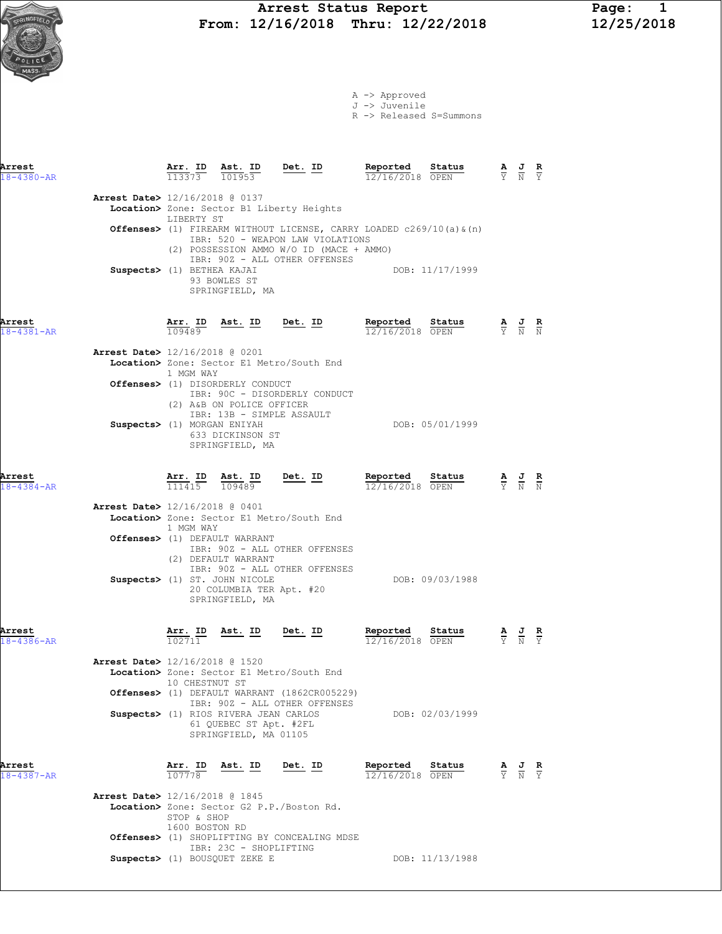A -> Approved J -> Juvenile R -> Released S=Summons

| Arrest<br>$18 - 4380 - AR$ |                                | 113373     | Arr. ID Ast. ID Det. ID<br>101953 |                                                                                                               | Reported<br>12/16/2018                                                                   | Status<br>OPEN  | $\frac{\mathbf{A}}{\mathbf{Y}}$ $\frac{\mathbf{J}}{\mathbf{N}}$ $\frac{\mathbf{R}}{\mathbf{Y}}$ |              |
|----------------------------|--------------------------------|------------|-----------------------------------|---------------------------------------------------------------------------------------------------------------|------------------------------------------------------------------------------------------|-----------------|-------------------------------------------------------------------------------------------------|--------------|
|                            | Arrest Date> 12/16/2018 @ 0137 |            |                                   |                                                                                                               |                                                                                          |                 |                                                                                                 |              |
|                            |                                | LIBERTY ST |                                   | Location> Zone: Sector B1 Liberty Heights                                                                     |                                                                                          |                 |                                                                                                 |              |
|                            |                                |            |                                   | IBR: 520 - WEAPON LAW VIOLATIONS<br>(2) POSSESSION AMMO W/O ID (MACE + AMMO)<br>IBR: 90Z - ALL OTHER OFFENSES | <b>Offenses&gt;</b> (1) FIREARM WITHOUT LICENSE, CARRY LOADED $c269/10$ (a) $\alpha$ (n) |                 |                                                                                                 |              |
|                            | Suspects> (1) BETHEA KAJAI     |            | 93 BOWLES ST<br>SPRINGFIELD, MA   |                                                                                                               |                                                                                          | DOB: 11/17/1999 |                                                                                                 |              |
| Arrest                     |                                | Arr. ID    | Ast. ID                           | Det. ID                                                                                                       | Reported                                                                                 | Status          | AJ                                                                                              | $\mathbf{R}$ |

| ۰.<br>۹ | ٧ |  |
|---------|---|--|
|         |   |  |

| $18 - 4381 - AR$ | 109489                                                                                                                                | 12/16/2018 OPEN |                 | $\overline{Y}$ $\overline{N}$ $\overline{N}$ |  |
|------------------|---------------------------------------------------------------------------------------------------------------------------------------|-----------------|-----------------|----------------------------------------------|--|
|                  | <b>Arrest Date&gt;</b> 12/16/2018 @ 0201<br>Location> Zone: Sector E1 Metro/South End<br>1 MGM WAY                                    |                 |                 |                                              |  |
|                  | <b>Offenses&gt;</b> (1) DISORDERLY CONDUCT<br>IBR: 90C - DISORDERLY CONDUCT<br>(2) A&B ON POLICE OFFICER<br>IBR: 13B - SIMPLE ASSAULT |                 |                 |                                              |  |
|                  | Suspects> (1) MORGAN ENIYAH<br>633 DICKINSON ST<br>SPRINGFIELD, MA                                                                    |                 | DOB: 05/01/1999 |                                              |  |

Arrest Arr. ID Ast. ID Det. ID Reported Status A J R 18-4384-AR 111415 109489 12/16/2018 OPEN Y N N Arrest Date> 12/16/2018 @ 0401 Location> Zone: Sector E1 Metro/South End 1 MGM WAY Offenses> (1) DEFAULT WARRANT IBR: 90Z - ALL OTHER OFFENSES (2) DEFAULT WARRANT IBR: 90Z - ALL OTHER OFFENSES Suspects> (1) ST. JOHN NICOLE DOB: 09/03/1988 20 COLUMBIA TER Apt. #20 SPRINGFIELD, MA Arrest Arr. ID Ast. ID Det. ID Reported Status A J R 18-4386-AR 102711 12/16/2018 OPEN Y N Y

| <b>Arrest Date&gt;</b> 12/16/2018 @ 1520<br>Location> Zone: Sector E1 Metro/South End           |                 |
|-------------------------------------------------------------------------------------------------|-----------------|
| 10 CHESTNUT ST<br>Offenses> (1) DEFAULT WARRANT (1862CR005229)<br>IBR: 90Z - ALL OTHER OFFENSES |                 |
| Suspects> (1) RIOS RIVERA JEAN CARLOS<br>61 OUEBEC ST Apt. #2FL<br>SPRINGFIELD, MA 01105        | DOB: 02/03/1999 |

| Arrest<br>$18 - 4387 - AR$ |                                | Arr. ID<br>107778             | Ast. ID                       | Det. ID                                      | Reported<br>12/16/2018 OPEN | Status          | $\mathbf{A}$ | <u>ੁਹ</u><br>$\overline{Y}$ $\overline{N}$ $\overline{Y}$ | R |
|----------------------------|--------------------------------|-------------------------------|-------------------------------|----------------------------------------------|-----------------------------|-----------------|--------------|-----------------------------------------------------------|---|
|                            | Arrest Date> 12/16/2018 @ 1845 | STOP & SHOP<br>1600 BOSTON RD |                               | Location> Zone: Sector G2 P.P./Boston Rd.    |                             |                 |              |                                                           |   |
|                            |                                |                               | IBR: 23C - SHOPLIFTING        | Offenses> (1) SHOPLIFTING BY CONCEALING MDSE |                             |                 |              |                                                           |   |
|                            |                                |                               | Suspects> (1) BOUSOUET ZEKE E |                                              |                             | DOB: 11/13/1988 |              |                                                           |   |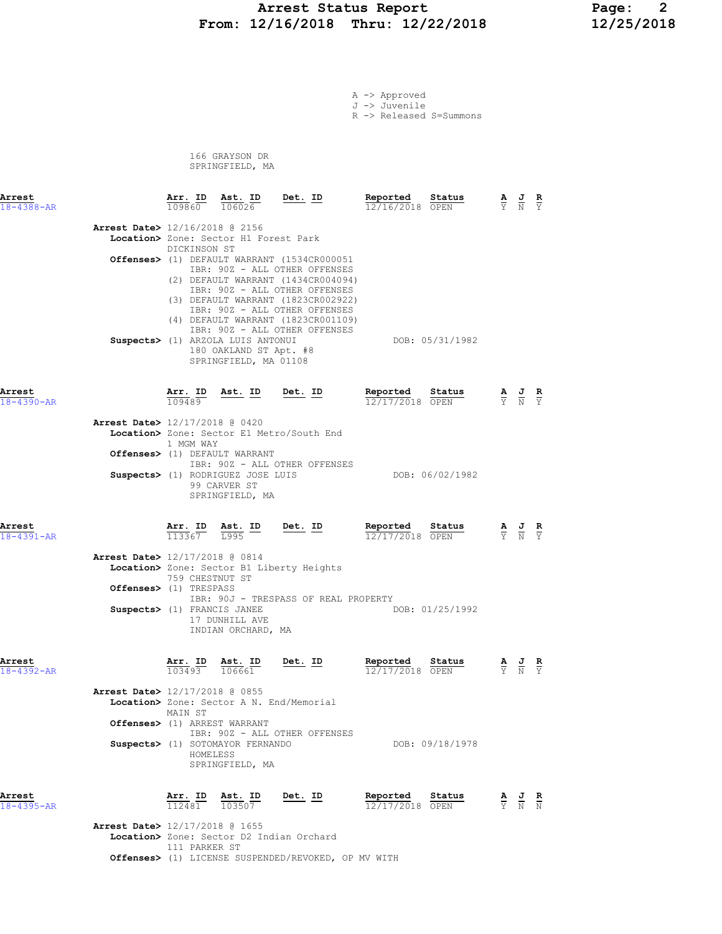## Arrest Status Report 12/2018 Page: 2<br>12/16/2018 Thru: 12/22/2018 12/25/2018 From: 12/16/2018 Thru: 12/22/2018

A -> Approved J -> Juvenile

R -> Released S=Summons

 166 GRAYSON DR SPRINGFIELD, MA

| Arrest<br>$18 - 4388 - AR$ |                                                                                         | Arr. ID<br>109860                    | Ast. ID<br>106026                                                                                                             | Det. ID                                                                                                                                                                                                                                                                                           | Reported<br>12/16/2018 OPEN          | Status          | $\frac{\mathbf{A}}{\Upsilon}$ | $\frac{1}{N}$                                                                                         | $\frac{\mathbf{R}}{\Upsilon}$ |
|----------------------------|-----------------------------------------------------------------------------------------|--------------------------------------|-------------------------------------------------------------------------------------------------------------------------------|---------------------------------------------------------------------------------------------------------------------------------------------------------------------------------------------------------------------------------------------------------------------------------------------------|--------------------------------------|-----------------|-------------------------------|-------------------------------------------------------------------------------------------------------|-------------------------------|
|                            | <b>Arrest Date&gt;</b> 12/16/2018 @ 2156                                                | DICKINSON ST                         | Location> Zone: Sector H1 Forest Park<br>Suspects> (1) ARZOLA LUIS ANTONUI<br>180 OAKLAND ST Apt. #8<br>SPRINGFIELD, MA 01108 | Offenses> (1) DEFAULT WARRANT (1534CR000051<br>IBR: 90Z - ALL OTHER OFFENSES<br>(2) DEFAULT WARRANT (1434CR004094)<br>IBR: 90Z - ALL OTHER OFFENSES<br>(3) DEFAULT WARRANT (1823CR002922)<br>IBR: 90Z - ALL OTHER OFFENSES<br>(4) DEFAULT WARRANT (1823CR001109)<br>IBR: 90Z - ALL OTHER OFFENSES |                                      | DOB: 05/31/1982 |                               |                                                                                                       |                               |
| Arrest<br>18-4390-AR       |                                                                                         | Arr. ID<br>109489                    | <u>Ast. ID</u>                                                                                                                | $Det$ . ID                                                                                                                                                                                                                                                                                        | Reported<br>12/17/2018 OPEN          | Status          |                               | $\frac{\mathbf{A}}{\mathbf{Y}}$ $\frac{\mathbf{J}}{\mathbf{N}}$ $\frac{\mathbf{R}}{\mathbf{Y}}$       |                               |
|                            | <b>Arrest Date&gt;</b> 12/17/2018 @ 0420                                                | 1 MGM WAY                            | Offenses> (1) DEFAULT WARRANT<br>Suspects> (1) RODRIGUEZ JOSE LUIS<br>99 CARVER ST<br>SPRINGFIELD, MA                         | Location> Zone: Sector E1 Metro/South End<br>IBR: 90Z - ALL OTHER OFFENSES                                                                                                                                                                                                                        |                                      | DOB: 06/02/1982 |                               |                                                                                                       |                               |
| Arrest<br>$18 - 4391 - AR$ |                                                                                         | $113367$ $1995$                      | Arr. ID Ast. ID                                                                                                               | $Det. ID$                                                                                                                                                                                                                                                                                         | Reported Status<br>$12/17/2018$ OPEN |                 |                               | $\frac{\mathbf{A}}{\overline{Y}}$ $\frac{\mathbf{J}}{\overline{N}}$ $\frac{\mathbf{R}}{\overline{Y}}$ |                               |
|                            | Arrest Date> 12/17/2018 @ 0814<br>Offenses> (1) TRESPASS<br>Suspects> (1) FRANCIS JANEE | 759 CHESTNUT ST                      | 17 DUNHILL AVE<br>INDIAN ORCHARD, MA                                                                                          | Location> Zone: Sector B1 Liberty Heights<br>IBR: 90J - TRESPASS OF REAL PROPERTY                                                                                                                                                                                                                 |                                      | DOB: 01/25/1992 |                               |                                                                                                       |                               |
| Arrest<br>$18 - 4392 - AR$ | Arrest Date> 12/17/2018 @ 0855                                                          | Arr. ID Ast. ID<br>103493<br>MAIN ST | 106661                                                                                                                        | Det. ID<br>Location> Zone: Sector A N. End/Memorial                                                                                                                                                                                                                                               | Reported<br>12/17/2018 OPEN          | Status          |                               | $\frac{\mathbf{A}}{\mathbf{Y}}$ $\frac{\mathbf{J}}{\mathbf{N}}$ $\frac{\mathbf{R}}{\mathbf{Y}}$       |                               |
|                            |                                                                                         | HOMELESS                             | Offenses> (1) ARREST WARRANT<br>Suspects> (1) SOTOMAYOR FERNANDO<br>SPRINGFIELD, MA                                           | IBR: 90Z - ALL OTHER OFFENSES                                                                                                                                                                                                                                                                     |                                      | DOB: 09/18/1978 |                               |                                                                                                       |                               |
| Arrest<br>$18 - 4395 - AR$ |                                                                                         | Arr. ID<br>112481                    | Ast. ID<br>103507                                                                                                             | Det. ID                                                                                                                                                                                                                                                                                           | Reported<br>12/17/2018 OPEN          | Status          | $rac{\mathbf{A}}{\mathbf{Y}}$ | $\frac{J}{N}$                                                                                         | $\frac{R}{N}$                 |
|                            | Arrest Date> 12/17/2018 @ 1655                                                          |                                      |                                                                                                                               | Location> Zone: Sector D2 Indian Orchard                                                                                                                                                                                                                                                          |                                      |                 |                               |                                                                                                       |                               |

Location> Zone: Sector D2 Indian Orchard 111 PARKER ST Offenses> (1) LICENSE SUSPENDED/REVOKED, OP MV WITH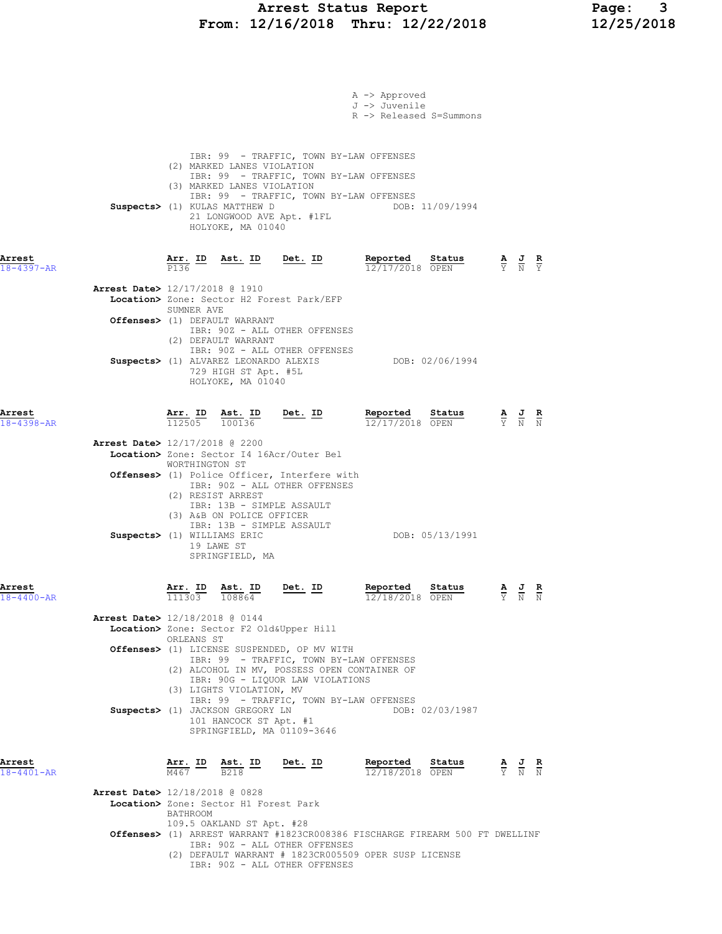### Arrest Status Report Page: 3 From: 12/16/2018 Thru: 12/22/2018 12/25/2018

|                            | A -> Approved<br>J -> Juvenile<br>R -> Released S=Summons                                                                                                                                                                                                                                                              |                                                                                                       |  |
|----------------------------|------------------------------------------------------------------------------------------------------------------------------------------------------------------------------------------------------------------------------------------------------------------------------------------------------------------------|-------------------------------------------------------------------------------------------------------|--|
|                            | IBR: 99 - TRAFFIC, TOWN BY-LAW OFFENSES<br>(2) MARKED LANES VIOLATION<br>IBR: 99 - TRAFFIC, TOWN BY-LAW OFFENSES<br>(3) MARKED LANES VIOLATION<br>IBR: 99 - TRAFFIC, TOWN BY-LAW OFFENSES<br>Suspects> (1) KULAS MATTHEW D<br>DOB: 11/09/1994<br>21 LONGWOOD AVE Apt. #1FL<br>HOLYOKE, MA 01040                        |                                                                                                       |  |
| Arrest<br>$18 - 4397 - AR$ | <u>Arr. ID</u><br>Ast. ID Det. ID Reported Status A J R<br>$\frac{7}{12}$ T $\frac{7}{12}$ $\frac{1}{120}$ $\frac{8}{120}$ $\frac{7}{120}$ $\frac{8}{120}$ $\frac{1}{120}$ $\frac{1}{120}$ $\frac{1}{120}$ $\frac{1}{120}$ $\frac{1}{120}$ $\frac{1}{120}$ $\frac{1}{120}$ $\frac{1}{120}$ $\frac{1}{120}$ $\$<br>P136 |                                                                                                       |  |
|                            | Arrest Date> 12/17/2018 @ 1910<br>Location> Zone: Sector H2 Forest Park/EFP<br>SUMNER AVE<br>Offenses> (1) DEFAULT WARRANT                                                                                                                                                                                             |                                                                                                       |  |
|                            | IBR: 90Z - ALL OTHER OFFENSES<br>(2) DEFAULT WARRANT<br>IBR: 90Z - ALL OTHER OFFENSES<br>Suspects> (1) ALVAREZ LEONARDO ALEXIS<br>DOB: 02/06/1994<br>729 HIGH ST Apt. #5L<br>HOLYOKE, MA 01040                                                                                                                         |                                                                                                       |  |
| Arrest<br>18-4398-AR       | Reported Status<br><u>Arr. ID</u><br><u>Det. ID</u><br>$\frac{\text{Ast. ID}}{100136}$<br>112505<br>12/17/2018 OPEN                                                                                                                                                                                                    | $\frac{\mathbf{A}}{\overline{Y}}$ $\frac{\mathbf{J}}{\overline{N}}$ $\frac{\mathbf{R}}{\overline{N}}$ |  |
|                            | Arrest Date> 12/17/2018 @ 2200<br>Location> Zone: Sector I4 16Acr/Outer Bel<br>WORTHINGTON ST<br>Offenses> (1) Police Officer, Interfere with                                                                                                                                                                          |                                                                                                       |  |
|                            | IBR: 90Z - ALL OTHER OFFENSES<br>(2) RESIST ARREST<br>IBR: 13B - SIMPLE ASSAULT<br>(3) A&B ON POLICE OFFICER<br>IBR: 13B - SIMPLE ASSAULT<br>DOB: 05/13/1991<br>Suspects> (1) WILLIAMS ERIC<br>19 LAWE ST<br>SPRINGFIELD, MA                                                                                           |                                                                                                       |  |
| Arrest<br>$18 - 4400 - AR$ | $\frac{\texttt{Arr.}}{111303}$<br>Ast. ID<br>Reported Status<br>Det. ID<br>12/18/2018 OPEN<br>108864                                                                                                                                                                                                                   | $\overline{Y}$ $\overline{N}$ $\overline{N}$                                                          |  |
|                            | <b>Arrest Date&gt;</b> 12/18/2018 @ 0144<br>Location> Zone: Sector F2 Old&Upper Hill<br>ORLEANS ST                                                                                                                                                                                                                     |                                                                                                       |  |
|                            | Offenses> (1) LICENSE SUSPENDED, OP MV WITH<br>IBR: 99 - TRAFFIC, TOWN BY-LAW OFFENSES<br>(2) ALCOHOL IN MV, POSSESS OPEN CONTAINER OF<br>IBR: 90G - LIQUOR LAW VIOLATIONS<br>(3) LIGHTS VIOLATION, MV                                                                                                                 |                                                                                                       |  |
|                            | IBR: 99 - TRAFFIC, TOWN BY-LAW OFFENSES<br>Suspects> (1) JACKSON GREGORY LN<br>DOB: 02/03/1987<br>101 HANCOCK ST Apt. #1<br>SPRINGFIELD, MA 01109-3646                                                                                                                                                                 |                                                                                                       |  |
| Arrest<br>$18 - 4401 - AR$ | $\frac{\texttt{Arr.}}{\texttt{M467}}$ ID $\frac{\texttt{ Ast.}}{\texttt{B218}}$ ID<br><u>Det. ID</u><br>Reported Status<br>$\frac{\mathbf{A}}{\mathbf{Y}}$ $\frac{\mathbf{J}}{\mathbf{N}}$ $\frac{\mathbf{R}}{\mathbf{N}}$<br>12/18/2018 OPEN                                                                          |                                                                                                       |  |
|                            | Arrest Date> 12/18/2018 @ 0828<br>Location> Zone: Sector H1 Forest Park<br>BATHROOM                                                                                                                                                                                                                                    |                                                                                                       |  |
|                            | 109.5 OAKLAND ST Apt. #28<br>Offenses> (1) ARREST WARRANT #1823CR008386 FISCHARGE FIREARM 500 FT DWELLINF<br>IBR: 90Z - ALL OTHER OFFENSES<br>(2) DEFAULT WARRANT # 1823CR005509 OPER SUSP LICENSE<br>IBR: 90Z - ALL OTHER OFFENSES                                                                                    |                                                                                                       |  |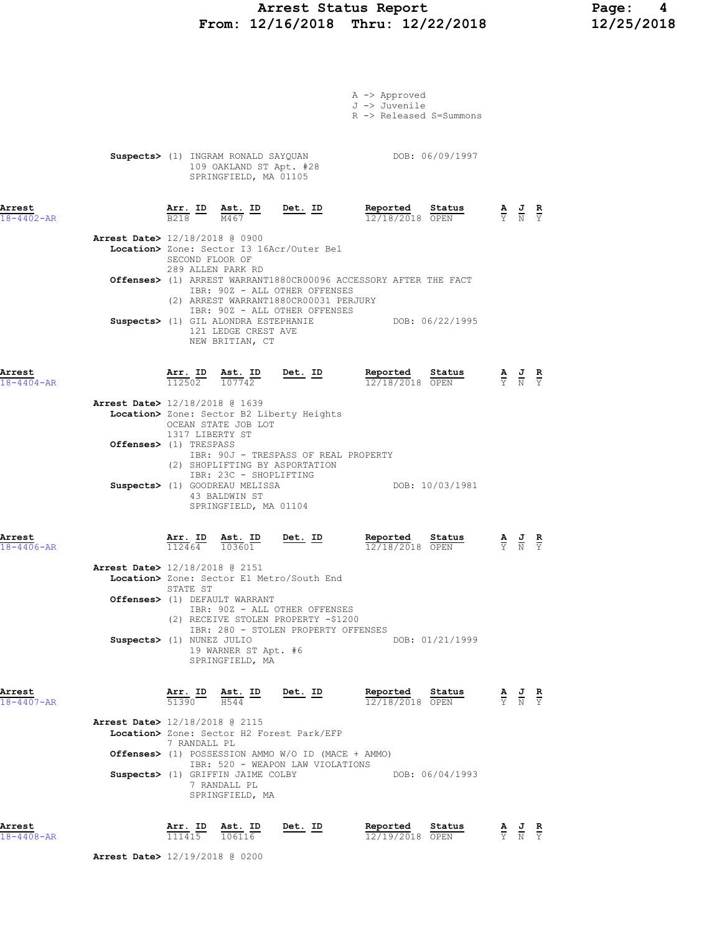## Arrest Status Report Page: 4 From: 12/16/2018 Thru: 12/22/2018

| Arrest<br>$18 - 4408 - AR$ |                                          | $\frac{\text{Arr.}}{111415}$ | Ast. ID<br>106116                                                                                  | <u>Det. ID</u>                                                                                                                                   | Reported<br>12/19/2018 OPEN                                                                                                 | Status                                                                                      | $\frac{\mathbf{A}}{\mathbf{Y}}$ $\frac{\mathbf{J}}{\mathbf{N}}$                                 | $\frac{R}{Y}$ |
|----------------------------|------------------------------------------|------------------------------|----------------------------------------------------------------------------------------------------|--------------------------------------------------------------------------------------------------------------------------------------------------|-----------------------------------------------------------------------------------------------------------------------------|---------------------------------------------------------------------------------------------|-------------------------------------------------------------------------------------------------|---------------|
|                            |                                          |                              | Suspects> (1) GRIFFIN JAIME COLBY<br>7 RANDALL PL<br>SPRINGFIELD, MA                               | IBR: 520 - WEAPON LAW VIOLATIONS                                                                                                                 |                                                                                                                             | DOB: 06/04/1993                                                                             |                                                                                                 |               |
|                            | Arrest Date> 12/18/2018 @ 2115           | 7 RANDALL PL                 |                                                                                                    | Location> Zone: Sector H2 Forest Park/EFP<br>Offenses> (1) POSSESSION AMMO W/O ID (MACE + AMMO)                                                  |                                                                                                                             |                                                                                             |                                                                                                 |               |
| Arrest<br>$18 - 4407 - AR$ |                                          |                              | $\frac{\texttt{Arr.}}{51390}$ $\frac{\texttt{ Ast.}}{H544}$ ID Det. ID                             |                                                                                                                                                  | <u>Reported</u><br>12/18/2018 OPEN                                                                                          | Status                                                                                      | $\frac{\mathbf{A}}{\mathbf{Y}}$ $\frac{\mathbf{J}}{\mathbf{N}}$ $\frac{\mathbf{R}}{\mathbf{Y}}$ |               |
|                            | Suspects> (1) NUNEZ JULIO                |                              | 19 WARNER ST Apt. #6<br>SPRINGFIELD, MA                                                            | IBR: 280 - STOLEN PROPERTY OFFENSES                                                                                                              |                                                                                                                             | DOB: 01/21/1999                                                                             |                                                                                                 |               |
|                            |                                          | STATE ST                     | Offenses> (1) DEFAULT WARRANT                                                                      | IBR: 90Z - ALL OTHER OFFENSES<br>(2) RECEIVE STOLEN PROPERTY -\$1200                                                                             |                                                                                                                             |                                                                                             |                                                                                                 |               |
|                            | Arrest Date> 12/18/2018 @ 2151           |                              |                                                                                                    | Location> Zone: Sector E1 Metro/South End                                                                                                        |                                                                                                                             |                                                                                             |                                                                                                 |               |
| Arrest<br>$18 - 4406 - AR$ |                                          |                              | $\frac{\texttt{Arr.}}{112464}$ $\frac{\texttt{Ab.}}{103601}$                                       | Det. ID                                                                                                                                          | Reported<br>12/18/2018 OPEN                                                                                                 | Status                                                                                      | $\frac{\mathbf{A}}{\mathbf{Y}}$ $\frac{\mathbf{J}}{\mathbf{N}}$ $\frac{\mathbf{R}}{\mathbf{Y}}$ |               |
|                            |                                          |                              | IBR: 23C - SHOPLIFTING<br>Suspects> (1) GOODREAU MELISSA<br>43 BALDWIN ST<br>SPRINGFIELD, MA 01104 | (2) SHOPLIFTING BY ASPORTATION                                                                                                                   |                                                                                                                             | DOB: 10/03/1981                                                                             |                                                                                                 |               |
|                            | Offenses> (1) TRESPASS                   | 1317 LIBERTY ST              |                                                                                                    | IBR: 90J - TRESPASS OF REAL PROPERTY                                                                                                             |                                                                                                                             |                                                                                             |                                                                                                 |               |
|                            | Arrest Date> 12/18/2018 @ 1639           |                              | OCEAN STATE JOB LOT                                                                                | Location> Zone: Sector B2 Liberty Heights                                                                                                        |                                                                                                                             |                                                                                             |                                                                                                 |               |
| Arrest<br>$18 - 4404 - AR$ |                                          |                              | $\frac{\texttt{Arr.}}{112502}$ $\frac{\texttt{ Ast.}}{107742}$                                     | Det. ID                                                                                                                                          | Reported                                                                                                                    | <b>Reported Status</b> $\frac{A}{Y}$ <b>J R</b><br>12/18/2018 OPEN $\frac{A}{Y}$ <b>N Y</b> |                                                                                                 |               |
|                            |                                          |                              | 121 LEDGE CREST AVE<br>NEW BRITIAN, CT                                                             | (2) ARREST WARRANT1880CR00031 PERJURY<br>IBR: 90Z - ALL OTHER OFFENSES<br>Suspects> (1) GIL ALONDRA ESTEPHANIE                                   |                                                                                                                             | DOB: 06/22/1995                                                                             |                                                                                                 |               |
|                            |                                          | 289 ALLEN PARK RD            |                                                                                                    | IBR: 90Z - ALL OTHER OFFENSES                                                                                                                    | Offenses> (1) ARREST WARRANT1880CR00096 ACCESSORY AFTER THE FACT                                                            |                                                                                             |                                                                                                 |               |
|                            | <b>Arrest Date&gt;</b> 12/18/2018 @ 0900 | SECOND FLOOR OF              |                                                                                                    | Location> Zone: Sector I3 16Acr/Outer Bel                                                                                                        |                                                                                                                             |                                                                                             |                                                                                                 |               |
| Arrest<br>$18 - 402 - AR$  |                                          |                              |                                                                                                    | $\frac{\texttt{Arr.}}{\texttt{B218}}$ $\frac{\texttt{ID}}{\texttt{M467}}$ $\frac{\texttt{ID}}{\texttt{M467}}$ $\frac{\texttt{Det.}}{\texttt{D}}$ | <b>Reported</b> Status $\frac{A}{12/18/2018}$ $\frac{B}{OPEN}$ $\frac{A}{Y}$ $\frac{J}{N}$ $\frac{R}{Y}$<br>12/18/2018 OPEN |                                                                                             |                                                                                                 |               |
|                            |                                          |                              | 109 OAKLAND ST Apt. #28<br>SPRINGFIELD, MA 01105                                                   | Suspects> (1) INGRAM RONALD SAYQUAN                                                                                                              | DOB: 06/09/1997                                                                                                             |                                                                                             |                                                                                                 |               |
|                            |                                          |                              |                                                                                                    |                                                                                                                                                  | A -> Approved<br>J -> Juvenile<br>R -> Released S=Summons                                                                   |                                                                                             |                                                                                                 |               |
|                            |                                          |                              |                                                                                                    |                                                                                                                                                  |                                                                                                                             |                                                                                             |                                                                                                 |               |

Arrest Date> 12/19/2018 @ 0200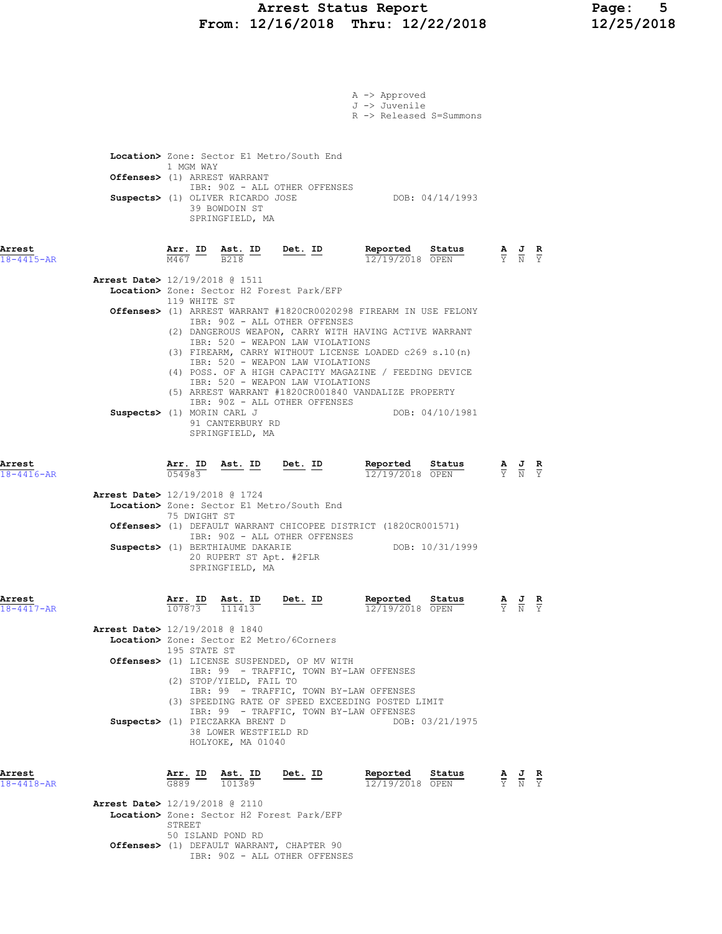### Arrest Status Report Page: 5 From: 12/16/2018 Thru: 12/22/2018 12/25/2018

|                            | A -> Approved<br>J -> Juvenile<br>R -> Released S=Summons                                                                                                                                                                                                                                                                                                                                               |                                                                                                 |                                                                                                 |                               |
|----------------------------|---------------------------------------------------------------------------------------------------------------------------------------------------------------------------------------------------------------------------------------------------------------------------------------------------------------------------------------------------------------------------------------------------------|-------------------------------------------------------------------------------------------------|-------------------------------------------------------------------------------------------------|-------------------------------|
|                            | Location> Zone: Sector E1 Metro/South End<br>1 MGM WAY<br>Offenses> (1) ARREST WARRANT<br>IBR: 90Z - ALL OTHER OFFENSES<br>Suspects> (1) OLIVER RICARDO JOSE<br>DOB: 04/14/1993<br>39 BOWDOIN ST<br>SPRINGFIELD, MA                                                                                                                                                                                     |                                                                                                 |                                                                                                 |                               |
| Arrest<br>$18 - 4415 - AR$ | <b>Arr. ID</b> Ast. ID Det. ID Reported Status A J R<br>$\frac{1}{12/19/2018}$ OPEN $\frac{1}{12}$ N Y N Y<br>12/19/2018 OPEN                                                                                                                                                                                                                                                                           |                                                                                                 |                                                                                                 |                               |
|                            | <b>Arrest Date&gt;</b> 12/19/2018 @ 1511<br>Location> Zone: Sector H2 Forest Park/EFP<br>119 WHITE ST<br>Offenses> (1) ARREST WARRANT #1820CR0020298 FIREARM IN USE FELONY<br>IBR: 90Z - ALL OTHER OFFENSES<br>(2) DANGEROUS WEAPON, CARRY WITH HAVING ACTIVE WARRANT<br>IBR: 520 - WEAPON LAW VIOLATIONS<br>(3) FIREARM, CARRY WITHOUT LICENSE LOADED c269 s.10(n)<br>IBR: 520 - WEAPON LAW VIOLATIONS |                                                                                                 |                                                                                                 |                               |
|                            | (4) POSS. OF A HIGH CAPACITY MAGAZINE / FEEDING DEVICE<br>IBR: 520 - WEAPON LAW VIOLATIONS<br>(5) ARREST WARRANT #1820CR001840 VANDALIZE PROPERTY<br>IBR: 90Z - ALL OTHER OFFENSES<br>Suspects> (1) MORIN CARL J<br>DOB: 04/10/1981<br>91 CANTERBURY RD<br>SPRINGFIELD, MA                                                                                                                              |                                                                                                 |                                                                                                 |                               |
| Arrest<br>$18 - 4416 - AR$ | Arr. ID<br>Sta <u>tus</u><br>054983<br>12/19/2018 OPEN                                                                                                                                                                                                                                                                                                                                                  | $\frac{\mathbf{A}}{\mathbf{Y}}$ $\frac{\mathbf{J}}{\mathbf{N}}$ $\frac{\mathbf{R}}{\mathbf{Y}}$ |                                                                                                 |                               |
|                            | Arrest Date> 12/19/2018 @ 1724<br>Location> Zone: Sector E1 Metro/South End<br>75 DWIGHT ST<br>Offenses> (1) DEFAULT WARRANT CHICOPEE DISTRICT (1820CR001571)                                                                                                                                                                                                                                           |                                                                                                 |                                                                                                 |                               |
|                            | IBR: 90Z - ALL OTHER OFFENSES<br>DOB: 10/31/1999<br>Suspects> (1) BERTHIAUME DAKARIE<br>20 RUPERT ST Apt. #2FLR<br>SPRINGFIELD, MA                                                                                                                                                                                                                                                                      |                                                                                                 |                                                                                                 |                               |
| Arrest<br>18-4417-AR       | Det. ID<br>Reported<br>Status<br>Arr. ID<br>Ast. ID<br>107873<br>111413<br>12/19/2018 OPEN                                                                                                                                                                                                                                                                                                              | $\frac{\mathbf{A}}{\mathbf{Y}}$ $\frac{\mathbf{J}}{\mathbf{N}}$                                 |                                                                                                 | $rac{\mathbf{R}}{\mathbf{Y}}$ |
|                            | <b>Arrest Date&gt;</b> 12/19/2018 @ 1840<br>Location> Zone: Sector E2 Metro/6Corners<br>195 STATE ST<br>Offenses> (1) LICENSE SUSPENDED, OP MV WITH<br>IBR: 99 - TRAFFIC, TOWN BY-LAW OFFENSES<br>(2) STOP/YIELD, FAIL TO                                                                                                                                                                               |                                                                                                 |                                                                                                 |                               |
|                            | IBR: 99 - TRAFFIC, TOWN BY-LAW OFFENSES<br>(3) SPEEDING RATE OF SPEED EXCEEDING POSTED LIMIT<br>IBR: 99 - TRAFFIC, TOWN BY-LAW OFFENSES<br>Suspects> (1) PIECZARKA BRENT D<br>DOB: 03/21/1975<br>38 LOWER WESTFIELD RD<br>HOLYOKE, MA 01040                                                                                                                                                             |                                                                                                 |                                                                                                 |                               |
| Arrest<br>$18 - 4418 - AR$ | Reported Status<br>Ast. ID Det. ID<br>$\frac{\texttt{Arr.}}{\texttt{G889}}$ $\frac{\texttt{ID}}{\texttt{101389}}$<br>12/19/2018 OPEN                                                                                                                                                                                                                                                                    |                                                                                                 | $\frac{\mathbf{A}}{\mathbf{Y}}$ $\frac{\mathbf{J}}{\mathbf{N}}$ $\frac{\mathbf{R}}{\mathbf{Y}}$ |                               |
|                            | <b>Arrest Date&gt;</b> 12/19/2018 @ 2110<br>Location> Zone: Sector H2 Forest Park/EFP<br>STREET<br>50 ISLAND POND RD                                                                                                                                                                                                                                                                                    |                                                                                                 |                                                                                                 |                               |
|                            | <b>Offenses&gt;</b> (1) DEFAULT WARRANT, CHAPTER 90<br>IBR: 90Z - ALL OTHER OFFENSES                                                                                                                                                                                                                                                                                                                    |                                                                                                 |                                                                                                 |                               |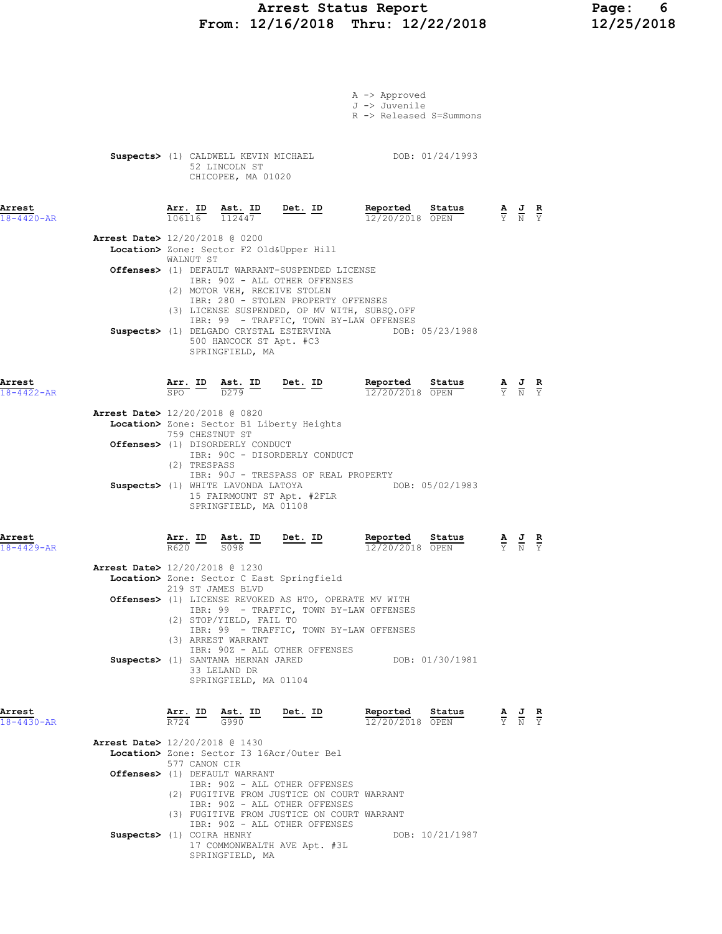### Arrest Status Report Page: 6 From: 12/16/2018 Thru: 12/22/2018 12/25/2018

|                            |                                |                                                                           |                                                                           |                                                                                                                                                                           | A -> Approved<br>J -> Juvenile<br>R -> Released S=Summons |                                                                                                 |  |
|----------------------------|--------------------------------|---------------------------------------------------------------------------|---------------------------------------------------------------------------|---------------------------------------------------------------------------------------------------------------------------------------------------------------------------|-----------------------------------------------------------|-------------------------------------------------------------------------------------------------|--|
|                            |                                |                                                                           | 52 LINCOLN ST<br>CHICOPEE, MA 01020                                       |                                                                                                                                                                           | Suspects> (1) CALDWELL KEVIN MICHAEL TOOB: 01/24/1993     |                                                                                                 |  |
| Arrest<br>$18 - 4420 - AR$ |                                | Arr. ID<br>106116                                                         | <u>Ast. ID</u><br>112447                                                  | $Det. ID$                                                                                                                                                                 | Reported<br>Sta <u>tus</u><br>12/20/2018 OPEN             | $\frac{\mathbf{A}}{\mathbf{Y}}$ $\frac{\mathbf{J}}{\mathbf{N}}$ $\frac{\mathbf{R}}{\mathbf{Y}}$ |  |
|                            | Arrest Date> 12/20/2018 @ 0200 |                                                                           |                                                                           | Location> Zone: Sector F2 Old&Upper Hill                                                                                                                                  |                                                           |                                                                                                 |  |
|                            |                                | WALNUT ST                                                                 | (2) MOTOR VEH, RECEIVE STOLEN                                             | Offenses> (1) DEFAULT WARRANT-SUSPENDED LICENSE<br>IBR: 90Z - ALL OTHER OFFENSES                                                                                          |                                                           |                                                                                                 |  |
|                            |                                |                                                                           | 500 HANCOCK ST Apt. #C3<br>SPRINGFIELD, MA                                | IBR: 280 - STOLEN PROPERTY OFFENSES<br>(3) LICENSE SUSPENDED, OP MV WITH, SUBSQ.OFF<br>IBR: 99 - TRAFFIC, TOWN BY-LAW OFFENSES<br>Suspects> (1) DELGADO CRYSTAL ESTERVINA | DOB: 05/23/1988                                           |                                                                                                 |  |
| Arrest<br>$18 - 4422 - AR$ |                                |                                                                           |                                                                           | $\frac{\texttt{Arr.}}{\texttt{SPO}}$ ID $\frac{\texttt{ Ast.}}{\texttt{D}279}$ ID Det. ID                                                                                 | Reported Status<br>$12/20/2018$ OPEN                      | $\frac{\mathbf{A}}{\mathbf{Y}}$ $\frac{\mathbf{J}}{\mathbf{N}}$ $\frac{\mathbf{R}}{\mathbf{Y}}$ |  |
|                            | Arrest Date> 12/20/2018 @ 0820 | 759 CHESTNUT ST                                                           |                                                                           | Location> Zone: Sector B1 Liberty Heights                                                                                                                                 |                                                           |                                                                                                 |  |
|                            |                                | (2) TRESPASS                                                              | Offenses> (1) DISORDERLY CONDUCT                                          | IBR: 90C - DISORDERLY CONDUCT                                                                                                                                             |                                                           |                                                                                                 |  |
|                            |                                |                                                                           | SPRINGFIELD, MA 01108                                                     | IBR: 90J - TRESPASS OF REAL PROPERTY<br>Suspects> (1) WHITE LAVONDA LATOYA<br>15 FAIRMOUNT ST Apt. #2FLR                                                                  | DOB: 05/02/1983                                           |                                                                                                 |  |
| Arrest<br>$18 - 4429 - AR$ |                                | $\frac{\texttt{Arr.}}{\texttt{R620}}$ $\frac{\texttt{ID}}{\texttt{R620}}$ | $\frac{\texttt{Ast.}}{\texttt{S098}}$ $\frac{\texttt{ID}}{\texttt{S098}}$ | $Det. ID$                                                                                                                                                                 | Reported<br>Status<br>12/20/2018 OPEN                     | $\frac{\mathbf{A}}{\mathbf{Y}}$ $\frac{\mathbf{J}}{\mathbf{N}}$ $\frac{\mathbf{R}}{\mathbf{Y}}$ |  |
|                            | Arrest Date> 12/20/2018 @ 1230 |                                                                           | 219 ST JAMES BLVD                                                         | Location> Zone: Sector C East Springfield                                                                                                                                 |                                                           |                                                                                                 |  |
|                            |                                |                                                                           | (2) STOP/YIELD, FAIL TO                                                   | Offenses> (1) LICENSE REVOKED AS HTO, OPERATE MV WITH<br>IBR: 99 - TRAFFIC, TOWN BY-LAW OFFENSES                                                                          |                                                           |                                                                                                 |  |
|                            |                                |                                                                           | (3) ARREST WARRANT<br>Suspects> (1) SANTANA HERNAN JARED                  | IBR: 99 - TRAFFIC, TOWN BY-LAW OFFENSES<br>IBR: 90Z - ALL OTHER OFFENSES                                                                                                  | DOB: 01/30/1981                                           |                                                                                                 |  |
|                            |                                |                                                                           | 33 LELAND DR<br>SPRINGFIELD, MA 01104                                     |                                                                                                                                                                           |                                                           |                                                                                                 |  |
| Arrest<br>$18 - 4430 - AR$ |                                | Arr. ID                                                                   | $\frac{\text{Ast.}}{\text{G990}}$ ID                                      | <u>Det. ID</u>                                                                                                                                                            | Reported<br>Status<br>12/20/2018 OPEN                     | $\frac{\mathbf{A}}{\mathbf{Y}}$ $\frac{\mathbf{J}}{\mathbf{N}}$ $\frac{\mathbf{R}}{\mathbf{Y}}$ |  |
|                            | Arrest Date> 12/20/2018 @ 1430 | 577 CANON CIR                                                             |                                                                           | Location> Zone: Sector I3 16Acr/Outer Bel                                                                                                                                 |                                                           |                                                                                                 |  |
|                            |                                |                                                                           | Offenses> (1) DEFAULT WARRANT                                             | IBR: 90Z - ALL OTHER OFFENSES<br>(2) FUGITIVE FROM JUSTICE ON COURT WARRANT                                                                                               |                                                           |                                                                                                 |  |
|                            |                                |                                                                           |                                                                           | IBR: 90Z - ALL OTHER OFFENSES<br>(3) FUGITIVE FROM JUSTICE ON COURT WARRANT<br>IBR: 90Z - ALL OTHER OFFENSES                                                              |                                                           |                                                                                                 |  |
|                            | Suspects> (1) COIRA HENRY      |                                                                           |                                                                           | 17 COMMONWEALTH AVE Apt. #3L                                                                                                                                              | DOB: 10/21/1987                                           |                                                                                                 |  |

SPRINGFIELD, MA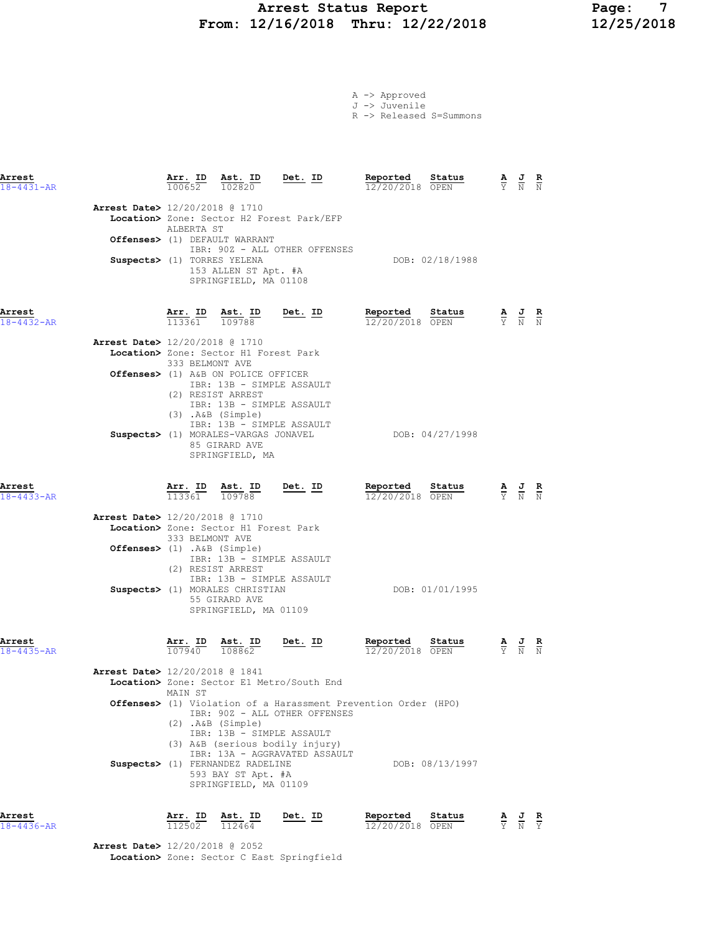# Arrest Status Report Page: 7 From: 12/16/2018 Thru: 12/22/2018

|  | A -> Approved |
|--|---------------|
|  | J -> Juvenile |

R -> Released S=Summons

| Arrest<br>$18 - 4431 - AR$                                    | Arr. ID<br>100652              | Ast. ID<br>102820                                                                                                                            | Det. ID                                                                                         | Reported<br>12/20/2018 OPEN | Status          | $\frac{\mathbf{A}}{\mathrm{Y}}$ | $\frac{J}{N}$                                                                                         | $\frac{\mathbf{R}}{N}$        |
|---------------------------------------------------------------|--------------------------------|----------------------------------------------------------------------------------------------------------------------------------------------|-------------------------------------------------------------------------------------------------|-----------------------------|-----------------|---------------------------------|-------------------------------------------------------------------------------------------------------|-------------------------------|
| Arrest Date> 12/20/2018 @ 1710<br>Suspects> (1) TORRES YELENA | ALBERTA ST                     | Offenses> (1) DEFAULT WARRANT<br>153 ALLEN ST Apt. #A<br>SPRINGFIELD, MA 01108                                                               | Location> Zone: Sector H2 Forest Park/EFP<br>IBR: 90Z - ALL OTHER OFFENSES                      |                             | DOB: 02/18/1988 |                                 |                                                                                                       |                               |
| Arrest<br>18-4432-AR                                          | <u>Arr.</u> ID<br>113361       | Ast. ID<br>109788                                                                                                                            | <u>Det. ID</u>                                                                                  | Reported<br>12/20/2018 OPEN | Status          |                                 | $\frac{\mathbf{A}}{\mathbf{Y}}$ $\frac{\mathbf{J}}{\mathbf{N}}$ $\frac{\mathbf{R}}{\mathbf{N}}$       |                               |
| Arrest Date> 12/20/2018 @ 1710                                |                                |                                                                                                                                              |                                                                                                 |                             |                 |                                 |                                                                                                       |                               |
|                                                               |                                | Location> Zone: Sector H1 Forest Park                                                                                                        |                                                                                                 |                             |                 |                                 |                                                                                                       |                               |
|                                                               | 333 BELMONT AVE                | Offenses> (1) A&B ON POLICE OFFICER<br>IBR: 13B - SIMPLE ASSAULT<br>(2) RESIST ARREST<br>IBR: 13B - SIMPLE ASSAULT<br>$(3)$ . A&B $(Simple)$ |                                                                                                 |                             |                 |                                 |                                                                                                       |                               |
|                                                               |                                | IBR: 13B - SIMPLE ASSAULT<br>Suspects> (1) MORALES-VARGAS JONAVEL<br>85 GIRARD AVE<br>SPRINGFIELD, MA                                        |                                                                                                 |                             | DOB: 04/27/1998 |                                 |                                                                                                       |                               |
| Arrest<br>$18 - 4433 - AR$                                    | $\frac{\texttt{Arr.}}{113361}$ | $\frac{\text{Ast.}}{109788}$                                                                                                                 | Det. ID                                                                                         | Reported<br>12/20/2018 OPEN | Status          |                                 | $\frac{\mathbf{A}}{\overline{Y}}$ $\frac{\mathbf{J}}{\overline{N}}$ $\frac{\mathbf{R}}{\overline{N}}$ |                               |
| Arrest Date> 12/20/2018 @ 1710                                | 333 BELMONT AVE                | Location> Zone: Sector H1 Forest Park                                                                                                        |                                                                                                 |                             |                 |                                 |                                                                                                       |                               |
| Offenses> (1) .A&B (Simple)                                   |                                | IBR: 13B - SIMPLE ASSAULT<br>(2) RESIST ARREST<br>IBR: 13B - SIMPLE ASSAULT                                                                  |                                                                                                 |                             |                 |                                 |                                                                                                       |                               |
|                                                               |                                | Suspects> (1) MORALES CHRISTIAN<br>55 GIRARD AVE<br>SPRINGFIELD, MA 01109                                                                    |                                                                                                 |                             | DOB: 01/01/1995 |                                 |                                                                                                       |                               |
| Arrest<br>$18 - 4435 - AR$                                    | Arr. ID<br>107940              | Ast. ID<br>108862                                                                                                                            | <u>Det. ID</u>                                                                                  | Reported<br>12/20/2018 OPEN | Status          |                                 | $\frac{\mathbf{A}}{\mathrm{Y}}$ $\frac{\mathbf{J}}{\mathrm{N}}$                                       | $\frac{R}{N}$                 |
| Arrest Date> 12/20/2018 @ 1841                                |                                |                                                                                                                                              |                                                                                                 |                             |                 |                                 |                                                                                                       |                               |
|                                                               |                                |                                                                                                                                              | Location> Zone: Sector E1 Metro/South End                                                       |                             |                 |                                 |                                                                                                       |                               |
|                                                               | MAIN ST                        | $(2)$ . A&B $(Simple)$<br>IBR: 13B - SIMPLE ASSAULT                                                                                          | Offenses> (1) Violation of a Harassment Prevention Order (HPO)<br>IBR: 90Z - ALL OTHER OFFENSES |                             |                 |                                 |                                                                                                       |                               |
|                                                               |                                | Suspects> (1) FERNANDEZ RADELINE<br>593 BAY ST Apt. #A<br>SPRINGFIELD, MA 01109                                                              | (3) A&B (serious bodily injury)<br>IBR: 13A - AGGRAVATED ASSAULT                                |                             | DOB: 08/13/1997 |                                 |                                                                                                       |                               |
| Arrest<br>$18 - 4436 - AR$                                    | Arr. ID<br>112502              | Ast. ID<br>112464                                                                                                                            | Det. ID                                                                                         | Reported<br>12/20/2018 OPEN | Status          | $\frac{\mathbf{A}}{\mathbf{Y}}$ | $\frac{J}{N}$                                                                                         | $rac{\mathbf{R}}{\mathbf{Y}}$ |

Arrest Date> 12/20/2018 @ 2052 Location> Zone: Sector C East Springfield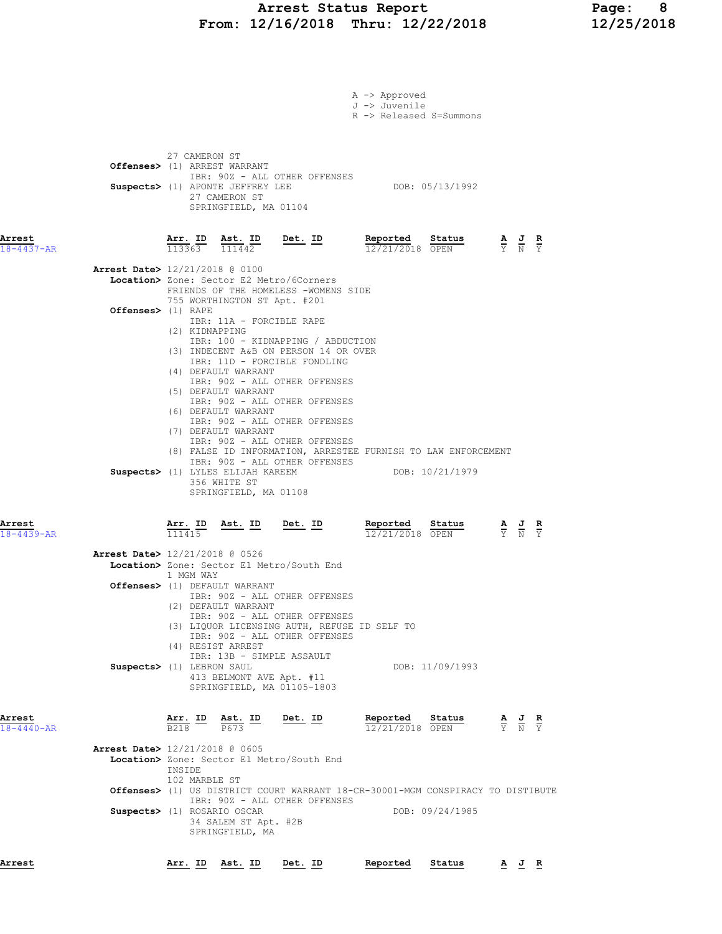### Arrest Status Report Page: 8 From: 12/16/2018 Thru: 12/22/2018 12/25/2018

|                                |                                                |                                                                                                                                                 |                                                                                                                                                                                                                                    | A -> Approved<br>J -> Juvenile<br>R -> Released S=Summons |                 |                                                                                                 |                                                                                                 |  |
|--------------------------------|------------------------------------------------|-------------------------------------------------------------------------------------------------------------------------------------------------|------------------------------------------------------------------------------------------------------------------------------------------------------------------------------------------------------------------------------------|-----------------------------------------------------------|-----------------|-------------------------------------------------------------------------------------------------|-------------------------------------------------------------------------------------------------|--|
|                                | 27 CAMERON ST<br>Offenses> (1) ARREST WARRANT  | Suspects> (1) APONTE JEFFREY LEE<br>27 CAMERON ST<br>SPRINGFIELD, MA 01104                                                                      | IBR: 90Z - ALL OTHER OFFENSES                                                                                                                                                                                                      |                                                           | DOB: 05/13/1992 |                                                                                                 |                                                                                                 |  |
| Arrest<br>$18 - 4437 - AR$     | Arr. ID Ast. ID<br>$113363$ $111442$           |                                                                                                                                                 | Det. ID                                                                                                                                                                                                                            | Reported<br>12/21/2018 OPEN                               | Status          | $\frac{\mathbf{A}}{\mathbf{Y}}$ $\frac{\mathbf{J}}{\mathbf{N}}$ $\frac{\mathbf{R}}{\mathbf{Y}}$ |                                                                                                 |  |
| Arrest Date> 12/21/2018 @ 0100 |                                                |                                                                                                                                                 | Location> Zone: Sector E2 Metro/6Corners<br>FRIENDS OF THE HOMELESS -WOMENS SIDE                                                                                                                                                   |                                                           |                 |                                                                                                 |                                                                                                 |  |
| Offenses> (1) RAPE             | (2) KIDNAPPING                                 | 755 WORTHINGTON ST Apt. #201<br>IBR: 11A - FORCIBLE RAPE<br>(4) DEFAULT WARRANT                                                                 | IBR: 100 - KIDNAPPING / ABDUCTION<br>(3) INDECENT A&B ON PERSON 14 OR OVER<br>IBR: 11D - FORCIBLE FONDLING                                                                                                                         |                                                           |                 |                                                                                                 |                                                                                                 |  |
|                                |                                                | (5) DEFAULT WARRANT<br>(6) DEFAULT WARRANT<br>(7) DEFAULT WARRANT<br>Suspects> (1) LYLES ELIJAH KAREEM<br>356 WHITE ST<br>SPRINGFIELD, MA 01108 | IBR: 90Z - ALL OTHER OFFENSES<br>IBR: 90Z - ALL OTHER OFFENSES<br>IBR: 90Z - ALL OTHER OFFENSES<br>IBR: 90Z - ALL OTHER OFFENSES<br>(8) FALSE ID INFORMATION, ARRESTEE FURNISH TO LAW ENFORCEMENT<br>IBR: 90Z - ALL OTHER OFFENSES |                                                           | DOB: 10/21/1979 |                                                                                                 |                                                                                                 |  |
| Arrest<br>$18 - 4439 - AR$     | Arr. ID<br>111415                              |                                                                                                                                                 | Ast. ID Det. ID                                                                                                                                                                                                                    | Reported<br>12/21/2018 OPEN                               | Status          | $\frac{\mathbf{A}}{\mathbf{Y}}$ $\frac{\mathbf{J}}{\mathbf{N}}$ $\frac{\mathbf{R}}{\mathbf{Y}}$ |                                                                                                 |  |
| Arrest Date> 12/21/2018 @ 0526 | 1 MGM WAY                                      |                                                                                                                                                 | Location> Zone: Sector E1 Metro/South End                                                                                                                                                                                          |                                                           |                 |                                                                                                 |                                                                                                 |  |
|                                | Offenses> (1) DEFAULT WARRANT                  | (2) DEFAULT WARRANT                                                                                                                             | IBR: 90Z - ALL OTHER OFFENSES<br>IBR: 90Z - ALL OTHER OFFENSES<br>(3) LIQUOR LICENSING AUTH, REFUSE ID SELF TO                                                                                                                     |                                                           |                 |                                                                                                 |                                                                                                 |  |
|                                | (4) RESIST ARREST<br>Suspects> (1) LEBRON SAUL | IBR: 13B - SIMPLE ASSAULT<br>413 BELMONT AVE Apt. #11                                                                                           | IBR: 90Z - ALL OTHER OFFENSES<br>SPRINGFIELD, MA 01105-1803                                                                                                                                                                        |                                                           | DOB: 11/09/1993 |                                                                                                 |                                                                                                 |  |
| Arrest<br>$18 - 4440 - AR$     | Arr. ID<br>B <sub>218</sub>                    | Ast. ID<br>P673                                                                                                                                 | Det. ID                                                                                                                                                                                                                            | Reported<br>12/21/2018 OPEN                               | Status          |                                                                                                 | $\frac{\mathbf{A}}{\mathbf{Y}}$ $\frac{\mathbf{J}}{\mathbf{N}}$ $\frac{\mathbf{R}}{\mathbf{Y}}$ |  |
| Arrest Date> 12/21/2018 @ 0605 | INSIDE<br>102 MARBLE ST                        |                                                                                                                                                 | Location> Zone: Sector E1 Metro/South End                                                                                                                                                                                          |                                                           |                 |                                                                                                 |                                                                                                 |  |
|                                | Suspects> (1) ROSARIO OSCAR                    | 34 SALEM ST Apt. #2B<br>SPRINGFIELD, MA                                                                                                         | <b>Offenses&gt;</b> (1) US DISTRICT COURT WARRANT 18-CR-30001-MGM CONSPIRACY TO DISTIBUTE<br>IBR: 90Z - ALL OTHER OFFENSES                                                                                                         |                                                           | DOB: 09/24/1985 |                                                                                                 |                                                                                                 |  |
| Arrest                         | Arr. ID                                        | Ast. ID                                                                                                                                         | Det. ID                                                                                                                                                                                                                            | Reported                                                  | Status          |                                                                                                 |                                                                                                 |  |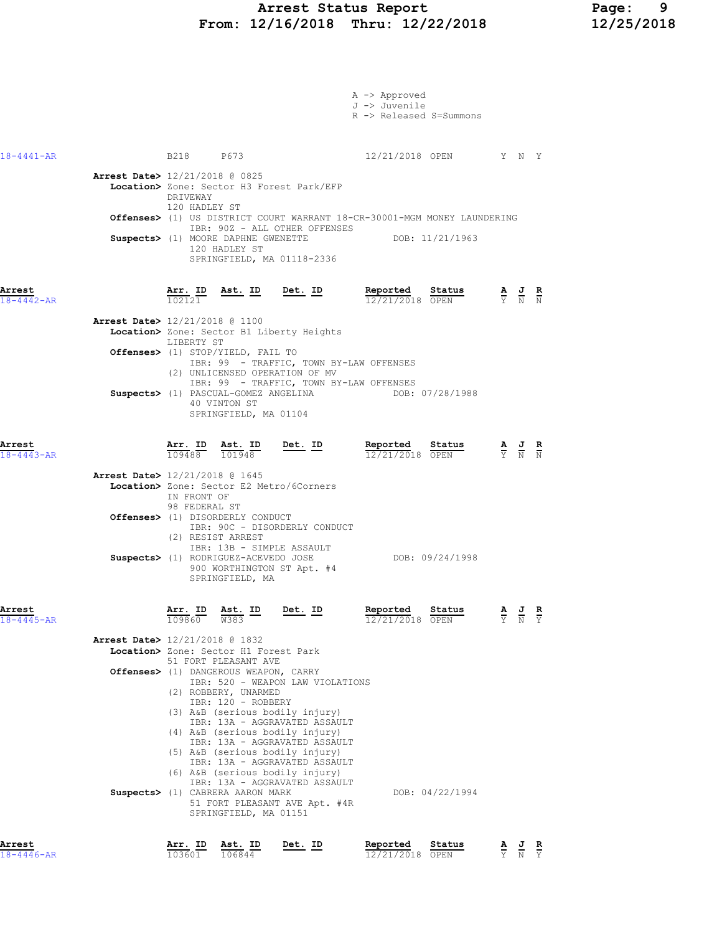|                            |                                          |                              |                                                                                     |                                                                                                                                                                                                                                                                                 | A -> Approved<br>J -> Juvenile<br>R -> Released S=Summons                                   |                                                                                                 |               |                               |
|----------------------------|------------------------------------------|------------------------------|-------------------------------------------------------------------------------------|---------------------------------------------------------------------------------------------------------------------------------------------------------------------------------------------------------------------------------------------------------------------------------|---------------------------------------------------------------------------------------------|-------------------------------------------------------------------------------------------------|---------------|-------------------------------|
| $18 - 4441 - AR$           |                                          |                              | B218 P673                                                                           |                                                                                                                                                                                                                                                                                 | 12/21/2018 OPEN Y N Y                                                                       |                                                                                                 |               |                               |
|                            | Arrest Date> 12/21/2018 @ 0825           | DRIVEWAY<br>120 HADLEY ST    | 120 HADLEY ST                                                                       | Location> Zone: Sector H3 Forest Park/EFP<br>IBR: 90Z - ALL OTHER OFFENSES<br>Suspects> (1) MOORE DAPHNE GWENETTE<br>SPRINGFIELD, MA 01118-2336                                                                                                                                 | Offenses> (1) US DISTRICT COURT WARRANT 18-CR-30001-MGM MONEY LAUNDERING<br>DOB: 11/21/1963 |                                                                                                 |               |                               |
| Arrest<br>$18 - 4442 - AR$ |                                          | <u>Arr. ID</u>               |                                                                                     | Ast. ID Det. ID                                                                                                                                                                                                                                                                 | Reported<br>Status<br>12/21/2018 OPEN                                                       | $\frac{\mathbf{A}}{\mathbf{Y}}$ $\frac{\mathbf{J}}{\mathbf{N}}$ $\frac{\mathbf{R}}{\mathbf{N}}$ |               |                               |
|                            | Arrest Date> 12/21/2018 @ 1100           | LIBERTY ST                   |                                                                                     | Location> Zone: Sector B1 Liberty Heights                                                                                                                                                                                                                                       |                                                                                             |                                                                                                 |               |                               |
|                            |                                          |                              | Offenses> (1) STOP/YIELD, FAIL TO                                                   | IBR: 99 - TRAFFIC, TOWN BY-LAW OFFENSES<br>(2) UNLICENSED OPERATION OF MV<br>IBR: 99 - TRAFFIC, TOWN BY-LAW OFFENSES                                                                                                                                                            |                                                                                             |                                                                                                 |               |                               |
|                            |                                          |                              | 40 VINTON ST<br>SPRINGFIELD, MA 01104                                               | Suspects> (1) PASCUAL-GOMEZ ANGELINA                                                                                                                                                                                                                                            | DOB: 07/28/1988                                                                             |                                                                                                 |               |                               |
| Arrest<br>$18 - 4443 - AR$ |                                          | Arr. ID<br>109488            | Ast. ID<br>101948                                                                   | <u>Det. ID</u>                                                                                                                                                                                                                                                                  | Reported<br>Status<br>12/21/2018 OPEN                                                       | $\frac{\mathbf{A}}{\mathbf{Y}}$ $\frac{\mathbf{J}}{\mathbf{N}}$ $\frac{\mathbf{R}}{\mathbf{N}}$ |               |                               |
|                            | <b>Arrest Date&gt;</b> 12/21/2018 @ 1645 | IN FRONT OF<br>98 FEDERAL ST | Offenses> (1) DISORDERLY CONDUCT<br>(2) RESIST ARREST                               | Location> Zone: Sector E2 Metro/6Corners<br>IBR: 90C - DISORDERLY CONDUCT                                                                                                                                                                                                       |                                                                                             |                                                                                                 |               |                               |
|                            |                                          |                              | SPRINGFIELD, MA                                                                     | IBR: 13B - SIMPLE ASSAULT<br>Suspects> (1) RODRIGUEZ-ACEVEDO JOSE<br>900 WORTHINGTON ST Apt. #4                                                                                                                                                                                 | DOB: 09/24/1998                                                                             |                                                                                                 |               |                               |
| Arrest<br>$18 - 4445 - AR$ |                                          | Arr. ID<br>109860            | <u>Ast. ID</u><br>W383                                                              | Det. ID                                                                                                                                                                                                                                                                         | Reported<br>Status<br>12/21/2018 OPEN                                                       | $rac{\mathbf{A}}{\mathbf{Y}}$                                                                   | $\frac{1}{N}$ | $rac{\mathbf{R}}{\mathbf{Y}}$ |
|                            | Arrest Date> 12/21/2018 @ 1832           |                              | Location> Zone: Sector H1 Forest Park<br>51 FORT PLEASANT AVE                       |                                                                                                                                                                                                                                                                                 |                                                                                             |                                                                                                 |               |                               |
|                            |                                          |                              | Offenses> (1) DANGEROUS WEAPON, CARRY<br>(2) ROBBERY, UNARMED<br>IBR: 120 - ROBBERY | IBR: 520 - WEAPON LAW VIOLATIONS<br>(3) A&B (serious bodily injury)<br>IBR: 13A - AGGRAVATED ASSAULT<br>(4) A&B (serious bodily injury)<br>IBR: 13A - AGGRAVATED ASSAULT<br>(5) A&B (serious bodily injury)<br>IBR: 13A - AGGRAVATED ASSAULT<br>(6) A&B (serious bodily injury) |                                                                                             |                                                                                                 |               |                               |
|                            |                                          |                              | Suspects> (1) CABRERA AARON MARK<br>SPRINGFIELD, MA 01151                           | IBR: 13A - AGGRAVATED ASSAULT<br>51 FORT PLEASANT AVE Apt. #4R                                                                                                                                                                                                                  | DOB: 04/22/1994                                                                             |                                                                                                 |               |                               |
| Arrest<br>$18 - 4446 - AR$ |                                          | Arr. ID<br>103601            | Ast. ID<br>106844                                                                   | Det. ID                                                                                                                                                                                                                                                                         | Reported<br>Status<br>12/21/2018 OPEN                                                       | $\frac{\mathbf{A}}{\mathbf{Y}}$                                                                 | $\frac{J}{N}$ | $rac{\mathbf{R}}{\mathbf{Y}}$ |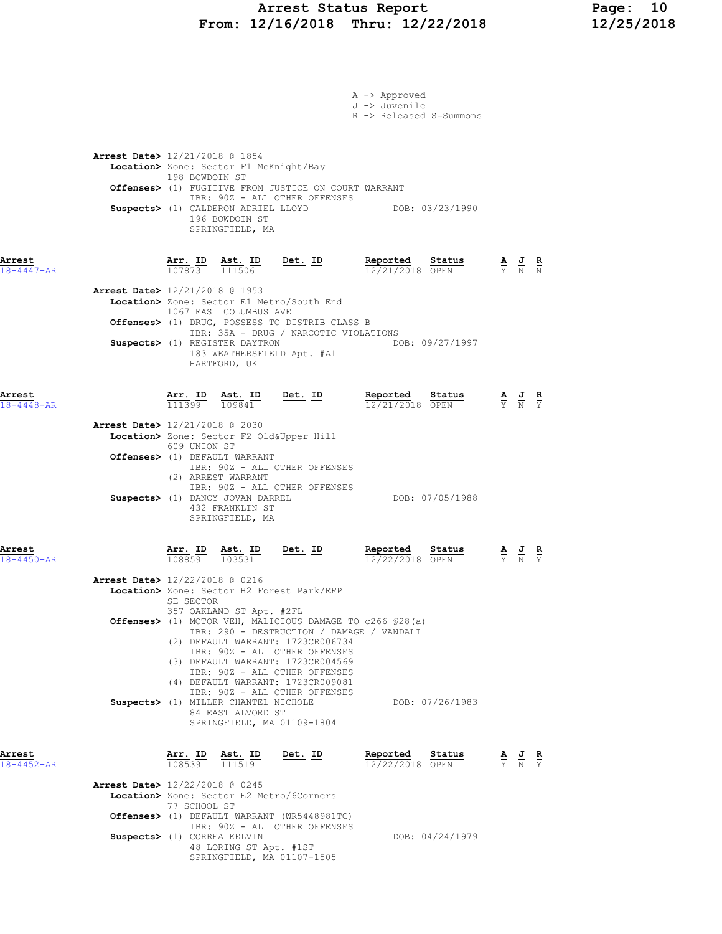### Arrest Status Report Page: 10 From: 12/16/2018 Thru: 12/22/2018 12/25/2018

|                            |                                                                         |                          |                                                                                                                               |                                                                                                                                                                                                                                                             | A -> Approved<br>J -> Juvenile<br>R -> Released S=Summons                                                                                                       |                                                                                                 |  |
|----------------------------|-------------------------------------------------------------------------|--------------------------|-------------------------------------------------------------------------------------------------------------------------------|-------------------------------------------------------------------------------------------------------------------------------------------------------------------------------------------------------------------------------------------------------------|-----------------------------------------------------------------------------------------------------------------------------------------------------------------|-------------------------------------------------------------------------------------------------|--|
|                            | Arrest Date> 12/21/2018 @ 1854                                          | 198 BOWDOIN ST           | Location> Zone: Sector F1 McKnight/Bay<br>196 BOWDOIN ST<br>SPRINGFIELD, MA                                                   | Offenses> (1) FUGITIVE FROM JUSTICE ON COURT WARRANT<br>IBR: 90Z - ALL OTHER OFFENSES                                                                                                                                                                       | Suspects> (1) CALDERON ADRIEL LLOYD DOB: 03/23/1990                                                                                                             |                                                                                                 |  |
| Arrest<br>$18 - 4447 - AR$ | <b>Arrest Date&gt;</b> 12/21/2018 @ 1953                                |                          | 1067 EAST COLUMBUS AVE                                                                                                        | $\frac{\texttt{Arr.}}{107873}$ $\frac{\texttt{ Ast.}}{111506}$ Det. ID<br>Location> Zone: Sector E1 Metro/South End<br>Offenses> (1) DRUG, POSSESS TO DISTRIB CLASS B<br>IBR: 35A - DRUG / NARCOTIC VIOLATIONS                                              | Reported Status<br>12/21/2018 OPEN                                                                                                                              | $\frac{\mathbf{A}}{\mathbf{Y}}$ $\frac{\mathbf{J}}{\mathbf{N}}$ $\frac{\mathbf{R}}{\mathbf{N}}$ |  |
| Arrest<br>$18 - 4448 - AR$ |                                                                         |                          | Suspects> (1) REGISTER DAYTRON<br>HARTFORD, UK                                                                                | 183 WEATHERSFIELD Apt. #A1                                                                                                                                                                                                                                  | DOB: 09/27/1997<br><b>Arr. ID</b> Ast. ID Det. ID Reported Status A J R<br>111399 109841 $\frac{12}{21}$ 12/21/2018 OPEN $\frac{12}{21}$ N Y<br>12/21/2018 OPEN |                                                                                                 |  |
|                            | Arrest Date> 12/21/2018 @ 2030                                          | 609 UNION ST             | Offenses> (1) DEFAULT WARRANT<br>(2) ARREST WARRANT<br>Suspects> (1) DANCY JOVAN DARREL<br>432 FRANKLIN ST<br>SPRINGFIELD, MA | Location> Zone: Sector F2 Old&Upper Hill<br>IBR: 90Z - ALL OTHER OFFENSES<br>IBR: 90Z - ALL OTHER OFFENSES                                                                                                                                                  | DOB: 07/05/1988                                                                                                                                                 |                                                                                                 |  |
| Arrest<br>$18 - 4450 - AR$ | Arrest Date> 12/22/2018 @ 0216                                          | <u>Arr. ID</u><br>108859 | Ast. ID<br>103531                                                                                                             | <u>Det. ID</u>                                                                                                                                                                                                                                              | Reported<br>Status<br>12/22/2018 OPEN                                                                                                                           | $\frac{\mathbf{A}}{\mathbf{Y}}$ $\frac{\mathbf{J}}{\mathbf{N}}$ $\frac{\mathbf{R}}{\mathbf{Y}}$ |  |
|                            |                                                                         | SE SECTOR                | 357 OAKLAND ST Apt. #2FL                                                                                                      | Location> Zone: Sector H2 Forest Park/EFP<br>(2) DEFAULT WARRANT: 1723CR006734<br>IBR: 90Z - ALL OTHER OFFENSES<br>(3) DEFAULT WARRANT: 1723CR004569<br>IBR: 90Z - ALL OTHER OFFENSES<br>(4) DEFAULT WARRANT: 1723CR009081<br>IBR: 90Z - ALL OTHER OFFENSES | Offenses> (1) MOTOR VEH, MALICIOUS DAMAGE TO c266 \$28(a)<br>IBR: 290 - DESTRUCTION / DAMAGE / VANDALI                                                          |                                                                                                 |  |
| Arrest<br>$18 - 4452 - AR$ |                                                                         | Arr. ID<br>108539        | Suspects> (1) MILLER CHANTEL NICHOLE<br>84 EAST ALVORD ST<br><u>Ast. ID</u><br>111519                                         | SPRINGFIELD, MA 01109-1804<br>Det. ID                                                                                                                                                                                                                       | DOB: 07/26/1983<br>Reported<br>Status<br>$12/22/2018$ OPEN                                                                                                      | $\frac{\mathbf{A}}{\mathbf{Y}}$ $\frac{\mathbf{J}}{\mathbf{N}}$ $\frac{\mathbf{R}}{\mathbf{Y}}$ |  |
|                            | <b>Arrest Date&gt;</b> 12/22/2018 @ 0245<br>Suspects> (1) CORREA KELVIN | 77 SCHOOL ST             | 48 LORING ST Apt. #1ST                                                                                                        | Location> Zone: Sector E2 Metro/6Corners<br>Offenses> (1) DEFAULT WARRANT (WR5448981TC)<br>IBR: 90Z - ALL OTHER OFFENSES<br>SPRINGFIELD, MA 01107-1505                                                                                                      | DOB: 04/24/1979                                                                                                                                                 |                                                                                                 |  |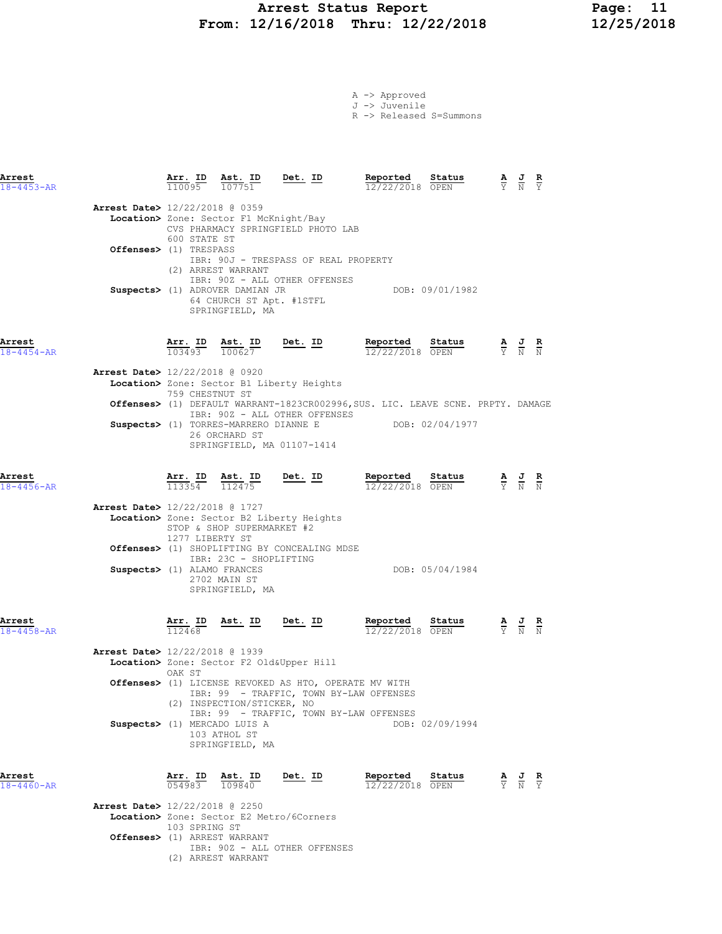## Arrest Status Report 11<br>12/16/2018 Thru: 12/22/2018 12/25/2018 From: 12/16/2018 Thru: 12/22/2018

A -> Approved J -> Juvenile R -> Released S=Summons

| Arrest<br>$18 - 4453 - AR$                                                                            |                                        |              | $\frac{\texttt{Arr.}}{110095}$ $\frac{\texttt{ Ast.}}{107751}$<br>Ast. ID                                                              | $Det. ID$                                                                                                                                                                                                                                            | Reported<br>12/22/2018 OPEN                     | Status                                                                                                                       | $\frac{\mathbf{A}}{\mathbf{Y}}$ $\frac{\mathbf{J}}{\mathbf{N}}$ $\frac{\mathbf{R}}{\mathbf{Y}}$ |  |
|-------------------------------------------------------------------------------------------------------|----------------------------------------|--------------|----------------------------------------------------------------------------------------------------------------------------------------|------------------------------------------------------------------------------------------------------------------------------------------------------------------------------------------------------------------------------------------------------|-------------------------------------------------|------------------------------------------------------------------------------------------------------------------------------|-------------------------------------------------------------------------------------------------|--|
| <b>Arrest Date&gt;</b> 12/22/2018 @ 0359<br>Offenses> (1) TRESPASS                                    |                                        | 600 STATE ST | Location> Zone: Sector F1 McKnight/Bay<br>(2) ARREST WARRANT<br>Suspects> (1) ADROVER DAMIAN JR<br>SPRINGFIELD, MA                     | CVS PHARMACY SPRINGFIELD PHOTO LAB<br>IBR: 90J - TRESPASS OF REAL PROPERTY<br>IBR: 90Z - ALL OTHER OFFENSES<br>64 CHURCH ST Apt. #1STFL                                                                                                              |                                                 | DOB: 09/01/1982                                                                                                              |                                                                                                 |  |
| Arrest<br>$18 - 4454 - AR$<br>Arrest Date> 12/22/2018 @ 0920                                          |                                        |              | $\frac{\text{Arr.}}{\text{L}}$ ID $\frac{\text{Ast.}}{\text{L} \cdot \text{L}}$<br>103493 100627                                       | $Det. ID$                                                                                                                                                                                                                                            | Reported Status                                 | <b>Reported Status A J R</b><br>12/22/2018 OPEN $\frac{1}{Y}$ <b>N N</b>                                                     |                                                                                                 |  |
|                                                                                                       |                                        |              | 759 CHESTNUT ST<br>26 ORCHARD ST                                                                                                       | Location> Zone: Sector B1 Liberty Heights<br>Offenses> (1) DEFAULT WARRANT-1823CR002996, SUS. LIC. LEAVE SCNE. PRPTY. DAMAGE<br>IBR: 90Z - ALL OTHER OFFENSES<br>Suspects> (1) TORRES-MARRERO DIANNE E DOB: 02/04/1977<br>SPRINGFIELD, MA 01107-1414 |                                                 |                                                                                                                              |                                                                                                 |  |
| Arrest<br>$18 - 4456 - AR$<br><b>Arrest Date&gt;</b> 12/22/2018 @ 1727<br>Suspects> (1) ALAMO FRANCES | <u>Arr.</u> ID<br>113354               |              | <u>Ast. ID</u><br>112475<br>STOP & SHOP SUPERMARKET #2<br>1277 LIBERTY ST<br>IBR: 23C - SHOPLIFTING<br>2702 MAIN ST<br>SPRINGFIELD, MA | <u>Det. ID</u><br>Location> Zone: Sector B2 Liberty Heights<br>Offenses> (1) SHOPLIFTING BY CONCEALING MDSE                                                                                                                                          | Reported Status<br>$\frac{12}{22}/22/2018$ OPEN | DOB: 05/04/1984                                                                                                              | $\frac{\mathbf{A}}{\mathbf{Y}}$ $\frac{\mathbf{J}}{\mathbf{N}}$ $\frac{\mathbf{R}}{\mathbf{N}}$ |  |
| Arrest<br>$18 - 4458 - AR$<br>Arrest Date> 12/22/2018 @ 1939                                          | $\frac{\text{Arr.}}{112468}$<br>OAK ST |              | <u>Ast. ID</u><br>(2) INSPECTION/STICKER, NO<br>Suspects> (1) MERCADO LUIS A<br>103 ATHOL ST<br>SPRINGFIELD, MA                        | <u>Det. ID</u><br>Location> Zone: Sector F2 Old&Upper Hill<br>Offenses> (1) LICENSE REVOKED AS HTO, OPERATE MV WITH<br>IBR: 99 - TRAFFIC, TOWN BY-LAW OFFENSES<br>IBR: 99 - TRAFFIC, TOWN BY-LAW OFFENSES                                            | Reported<br>12/22/2018 OPEN                     | Status<br>$\frac{\mathbf{A}}{\mathbf{Y}}$ $\frac{\mathbf{J}}{\mathbf{N}}$ $\frac{\mathbf{R}}{\mathbf{N}}$<br>DOB: 02/09/1994 |                                                                                                 |  |
| Arrest<br>$18 - 4460 - AR$<br><b>Arrest Date&gt;</b> 12/22/2018 @ 2250                                | 054983<br>103 SPRING ST                |              | Arr. ID Ast. ID<br>109840<br>Offenses> (1) ARREST WARRANT<br>(2) ARREST WARRANT                                                        | Det. ID<br>Location> Zone: Sector E2 Metro/6Corners<br>IBR: 90Z - ALL OTHER OFFENSES                                                                                                                                                                 | Reported<br>$12/22/2018$ OPEN                   | Status                                                                                                                       | $\frac{\mathbf{A}}{\mathbf{Y}}$ $\frac{\mathbf{J}}{\mathbf{N}}$ $\frac{\mathbf{R}}{\mathbf{Y}}$ |  |